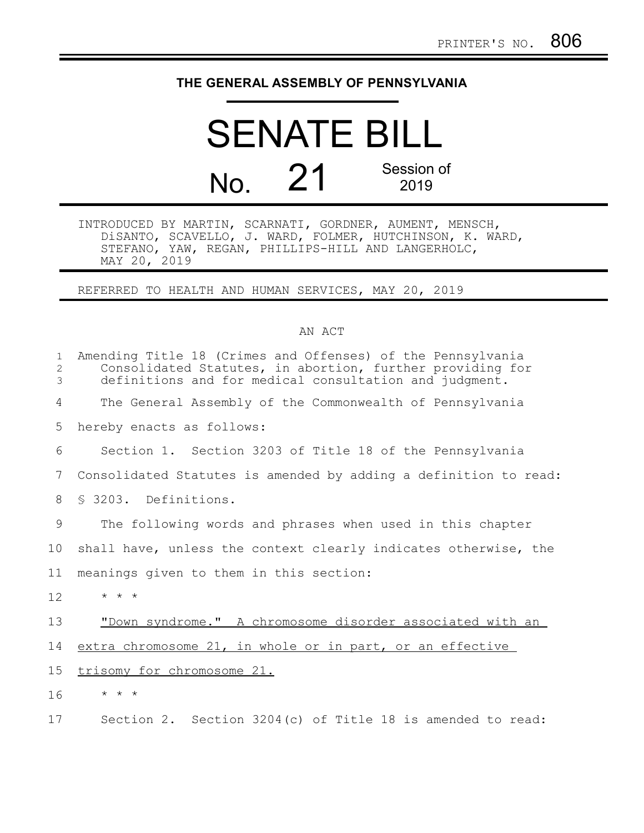## **THE GENERAL ASSEMBLY OF PENNSYLVANIA**

## SENATE BILL No. 21 Session of 2019

INTRODUCED BY MARTIN, SCARNATI, GORDNER, AUMENT, MENSCH, DiSANTO, SCAVELLO, J. WARD, FOLMER, HUTCHINSON, K. WARD, STEFANO, YAW, REGAN, PHILLIPS-HILL AND LANGERHOLC, MAY 20, 2019

REFERRED TO HEALTH AND HUMAN SERVICES, MAY 20, 2019

## AN ACT

| $\mathbf{1}$<br>2<br>3 | Amending Title 18 (Crimes and Offenses) of the Pennsylvania<br>Consolidated Statutes, in abortion, further providing for<br>definitions and for medical consultation and judgment. |
|------------------------|------------------------------------------------------------------------------------------------------------------------------------------------------------------------------------|
| 4                      | The General Assembly of the Commonwealth of Pennsylvania                                                                                                                           |
| 5                      | hereby enacts as follows:                                                                                                                                                          |
| 6                      | Section 1. Section 3203 of Title 18 of the Pennsylvania                                                                                                                            |
| 7                      | Consolidated Statutes is amended by adding a definition to read:                                                                                                                   |
| 8                      | \$ 3203. Definitions.                                                                                                                                                              |
| 9                      | The following words and phrases when used in this chapter                                                                                                                          |
| 10                     | shall have, unless the context clearly indicates otherwise, the                                                                                                                    |
| 11                     | meanings given to them in this section:                                                                                                                                            |
| 12                     | $\star$ $\star$ $\star$                                                                                                                                                            |
| 13                     | "Down syndrome." A chromosome disorder associated with an                                                                                                                          |
| 14                     | extra chromosome 21, in whole or in part, or an effective                                                                                                                          |
| 15                     | trisomy for chromosome 21.                                                                                                                                                         |
| 16                     | $\star$ $\star$ $\star$                                                                                                                                                            |
| 17                     | Section 2. Section $3204(c)$ of Title 18 is amended to read:                                                                                                                       |